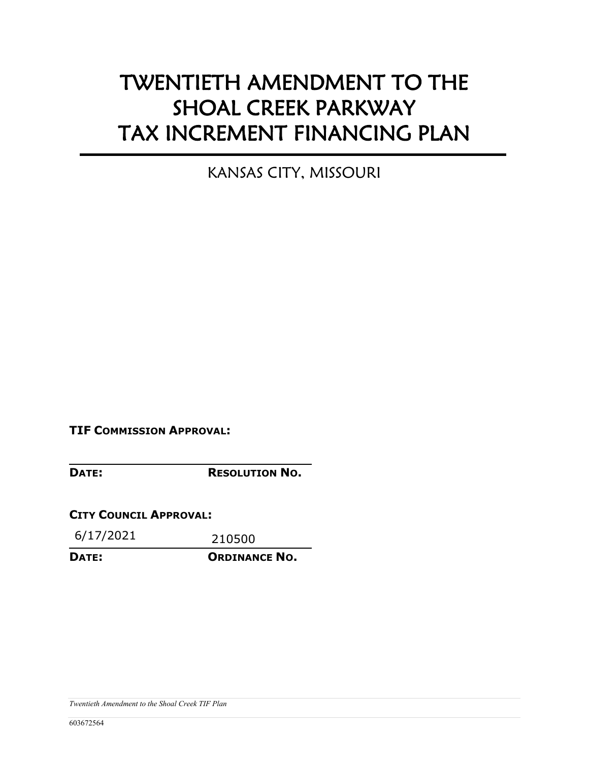# TWENTIETH AMENDMENT TO THE SHOAL CREEK PARKWAY TAX INCREMENT FINANCING PLAN

KANSAS CITY, MISSOURI

**TIF COMMISSION APPROVAL:** 

**DATE: RESOLUTION NO.**

**CITY COUNCIL APPROVAL:** 

6/17/2021 210500

**DATE: ORDINANCE NO.**

*Twentieth Amendment to the Shoal Creek TIF Plan*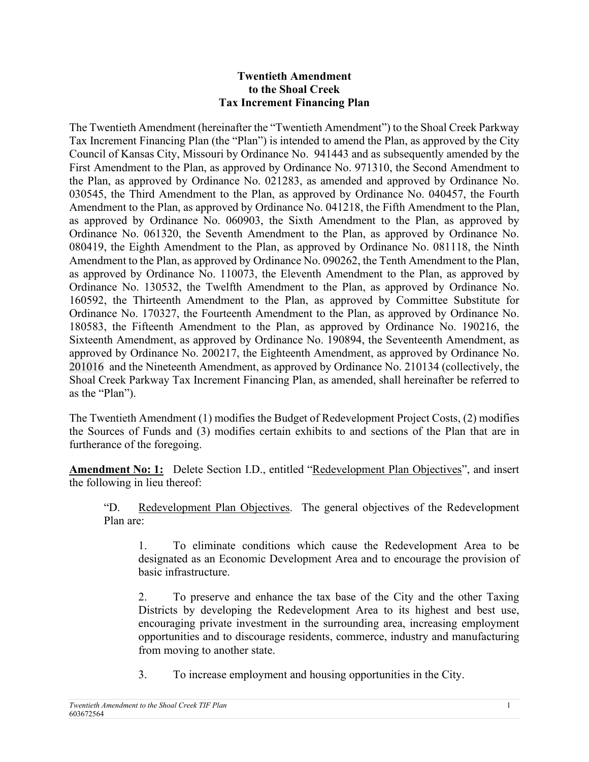### **Twentieth Amendment to the Shoal Creek Tax Increment Financing Plan**

The Twentieth Amendment (hereinafter the "Twentieth Amendment") to the Shoal Creek Parkway Tax Increment Financing Plan (the "Plan") is intended to amend the Plan, as approved by the City Council of Kansas City, Missouri by Ordinance No. 941443 and as subsequently amended by the First Amendment to the Plan, as approved by Ordinance No. 971310, the Second Amendment to the Plan, as approved by Ordinance No. 021283, as amended and approved by Ordinance No. 030545, the Third Amendment to the Plan, as approved by Ordinance No. 040457, the Fourth Amendment to the Plan, as approved by Ordinance No. 041218, the Fifth Amendment to the Plan, as approved by Ordinance No. 060903, the Sixth Amendment to the Plan, as approved by Ordinance No. 061320, the Seventh Amendment to the Plan, as approved by Ordinance No. 080419, the Eighth Amendment to the Plan, as approved by Ordinance No. 081118, the Ninth Amendment to the Plan, as approved by Ordinance No. 090262, the Tenth Amendment to the Plan, as approved by Ordinance No. 110073, the Eleventh Amendment to the Plan, as approved by Ordinance No. 130532, the Twelfth Amendment to the Plan, as approved by Ordinance No. 160592, the Thirteenth Amendment to the Plan, as approved by Committee Substitute for Ordinance No. 170327, the Fourteenth Amendment to the Plan, as approved by Ordinance No. 180583, the Fifteenth Amendment to the Plan, as approved by Ordinance No. 190216, the Sixteenth Amendment, as approved by Ordinance No. 190894, the Seventeenth Amendment, as approved by Ordinance No. 200217, the Eighteenth Amendment, as approved by Ordinance No. 201016 and the Nineteenth Amendment, as approved by Ordinance No. 210134 (collectively, the Shoal Creek Parkway Tax Increment Financing Plan, as amended, shall hereinafter be referred to as the "Plan").

The Twentieth Amendment (1) modifies the Budget of Redevelopment Project Costs, (2) modifies the Sources of Funds and (3) modifies certain exhibits to and sections of the Plan that are in furtherance of the foregoing.

**Amendment No: 1:** Delete Section I.D., entitled "Redevelopment Plan Objectives", and insert the following in lieu thereof:

"D. Redevelopment Plan Objectives. The general objectives of the Redevelopment Plan are:

1. To eliminate conditions which cause the Redevelopment Area to be designated as an Economic Development Area and to encourage the provision of basic infrastructure.

2. To preserve and enhance the tax base of the City and the other Taxing Districts by developing the Redevelopment Area to its highest and best use, encouraging private investment in the surrounding area, increasing employment opportunities and to discourage residents, commerce, industry and manufacturing from moving to another state.

3. To increase employment and housing opportunities in the City.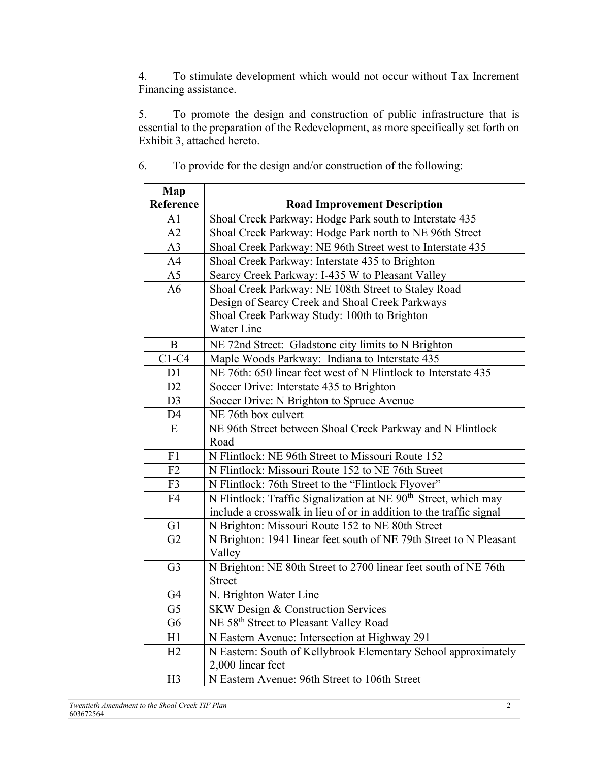4. To stimulate development which would not occur without Tax Increment Financing assistance.

5. To promote the design and construction of public infrastructure that is essential to the preparation of the Redevelopment, as more specifically set forth on Exhibit 3, attached hereto.

| Map            |                                                                             |
|----------------|-----------------------------------------------------------------------------|
| Reference      | <b>Road Improvement Description</b>                                         |
| A <sub>1</sub> | Shoal Creek Parkway: Hodge Park south to Interstate 435                     |
| A2             | Shoal Creek Parkway: Hodge Park north to NE 96th Street                     |
| A <sub>3</sub> | Shoal Creek Parkway: NE 96th Street west to Interstate 435                  |
| A <sub>4</sub> | Shoal Creek Parkway: Interstate 435 to Brighton                             |
| A <sub>5</sub> | Searcy Creek Parkway: I-435 W to Pleasant Valley                            |
| A <sub>6</sub> | Shoal Creek Parkway: NE 108th Street to Staley Road                         |
|                | Design of Searcy Creek and Shoal Creek Parkways                             |
|                | Shoal Creek Parkway Study: 100th to Brighton                                |
|                | Water Line                                                                  |
| B              | NE 72nd Street: Gladstone city limits to N Brighton                         |
| $C1-C4$        | Maple Woods Parkway: Indiana to Interstate 435                              |
| D1             | NE 76th: 650 linear feet west of N Flintlock to Interstate 435              |
| D2             | Soccer Drive: Interstate 435 to Brighton                                    |
| D <sub>3</sub> | Soccer Drive: N Brighton to Spruce Avenue                                   |
| D <sub>4</sub> | NE 76th box culvert                                                         |
| E              | NE 96th Street between Shoal Creek Parkway and N Flintlock                  |
|                | Road                                                                        |
| F1             | N Flintlock: NE 96th Street to Missouri Route 152                           |
| F2             | N Flintlock: Missouri Route 152 to NE 76th Street                           |
| F3             | N Flintlock: 76th Street to the "Flintlock Flyover"                         |
| F <sub>4</sub> | N Flintlock: Traffic Signalization at NE 90 <sup>th</sup> Street, which may |
|                | include a crosswalk in lieu of or in addition to the traffic signal         |
| G1             | N Brighton: Missouri Route 152 to NE 80th Street                            |
| G <sub>2</sub> | N Brighton: 1941 linear feet south of NE 79th Street to N Pleasant          |
|                | Valley                                                                      |
| G <sub>3</sub> | N Brighton: NE 80th Street to 2700 linear feet south of NE 76th             |
|                | <b>Street</b>                                                               |
| G4             | N. Brighton Water Line                                                      |
| G <sub>5</sub> | SKW Design & Construction Services                                          |
| G <sub>6</sub> | NE 58 <sup>th</sup> Street to Pleasant Valley Road                          |
| H1             | N Eastern Avenue: Intersection at Highway 291                               |
| H2             | N Eastern: South of Kellybrook Elementary School approximately              |
|                | 2,000 linear feet                                                           |
| H <sub>3</sub> | N Eastern Avenue: 96th Street to 106th Street                               |

6. To provide for the design and/or construction of the following:

 $\blacksquare$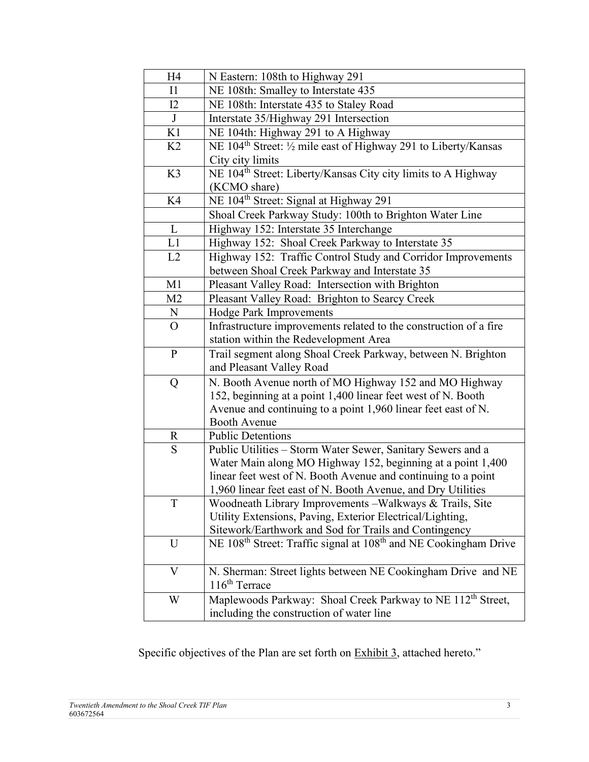| H4             | N Eastern: 108th to Highway 291                                                                                    |
|----------------|--------------------------------------------------------------------------------------------------------------------|
| $\mathbf{I}$   | NE 108th: Smalley to Interstate 435                                                                                |
| 12             | NE 108th: Interstate 435 to Staley Road                                                                            |
| J              | Interstate 35/Highway 291 Intersection                                                                             |
| K1             | NE 104th: Highway 291 to A Highway                                                                                 |
| K <sub>2</sub> | NE 104 <sup>th</sup> Street: 1/2 mile east of Highway 291 to Liberty/Kansas                                        |
|                | City city limits                                                                                                   |
| K3             | NE 104 <sup>th</sup> Street: Liberty/Kansas City city limits to A Highway                                          |
|                | (KCMO share)                                                                                                       |
| K4             | NE 104 <sup>th</sup> Street: Signal at Highway 291                                                                 |
|                | Shoal Creek Parkway Study: 100th to Brighton Water Line                                                            |
| L              | Highway 152: Interstate 35 Interchange                                                                             |
| L1             | Highway 152: Shoal Creek Parkway to Interstate 35                                                                  |
| L2             | Highway 152: Traffic Control Study and Corridor Improvements                                                       |
|                | between Shoal Creek Parkway and Interstate 35                                                                      |
| M1             | Pleasant Valley Road: Intersection with Brighton                                                                   |
| M <sub>2</sub> | Pleasant Valley Road: Brighton to Searcy Creek                                                                     |
| N              | <b>Hodge Park Improvements</b>                                                                                     |
| $\mathcal{O}$  | Infrastructure improvements related to the construction of a fire                                                  |
|                | station within the Redevelopment Area                                                                              |
| $\mathbf{P}$   | Trail segment along Shoal Creek Parkway, between N. Brighton                                                       |
|                | and Pleasant Valley Road                                                                                           |
| Q              | N. Booth Avenue north of MO Highway 152 and MO Highway                                                             |
|                | 152, beginning at a point 1,400 linear feet west of N. Booth                                                       |
|                | Avenue and continuing to a point 1,960 linear feet east of N.                                                      |
|                | <b>Booth Avenue</b>                                                                                                |
| $\mathbf R$    | <b>Public Detentions</b>                                                                                           |
| S              | Public Utilities - Storm Water Sewer, Sanitary Sewers and a                                                        |
|                | Water Main along MO Highway 152, beginning at a point 1,400                                                        |
|                | linear feet west of N. Booth Avenue and continuing to a point                                                      |
|                | 1,960 linear feet east of N. Booth Avenue, and Dry Utilities                                                       |
| T              | Woodneath Library Improvements – Walkways & Trails, Site                                                           |
|                | Utility Extensions, Paving, Exterior Electrical/Lighting,<br>Sitework/Earthwork and Sod for Trails and Contingency |
| U              | NE 108 <sup>th</sup> Street: Traffic signal at 108 <sup>th</sup> and NE Cookingham Drive                           |
|                |                                                                                                                    |
| V              | N. Sherman: Street lights between NE Cookingham Drive and NE                                                       |
|                | 116 <sup>th</sup> Terrace                                                                                          |
| W              | Maplewoods Parkway: Shoal Creek Parkway to NE 112 <sup>th</sup> Street,                                            |
|                | including the construction of water line                                                                           |

Specific objectives of the Plan are set forth on Exhibit 3, attached hereto."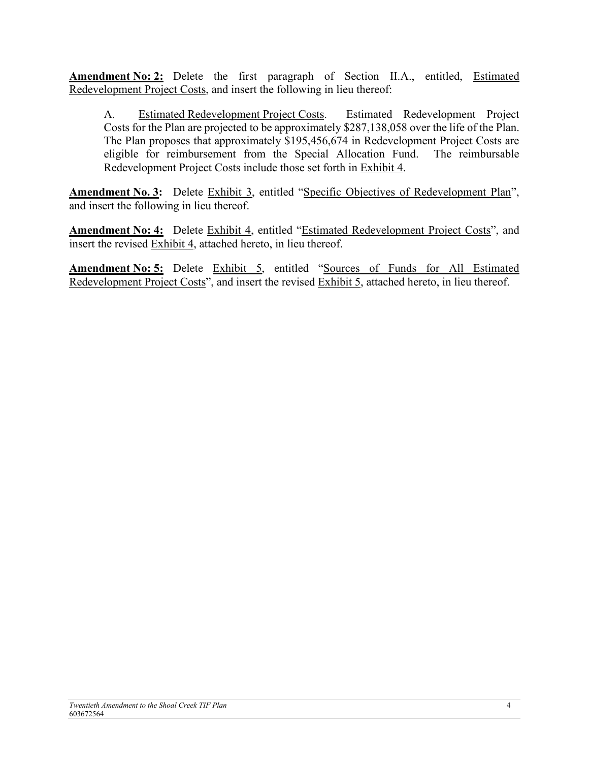**Amendment No: 2:** Delete the first paragraph of Section II.A., entitled, Estimated Redevelopment Project Costs, and insert the following in lieu thereof:

A. Estimated Redevelopment Project Costs. Estimated Redevelopment Project Costs for the Plan are projected to be approximately \$287,138,058 over the life of the Plan. The Plan proposes that approximately \$195,456,674 in Redevelopment Project Costs are eligible for reimbursement from the Special Allocation Fund. The reimbursable Redevelopment Project Costs include those set forth in Exhibit 4.

**Amendment No. 3:** Delete Exhibit 3, entitled "Specific Objectives of Redevelopment Plan", and insert the following in lieu thereof.

**Amendment No: 4:** Delete Exhibit 4, entitled "Estimated Redevelopment Project Costs", and insert the revised Exhibit 4, attached hereto, in lieu thereof.

**Amendment No: 5:** Delete Exhibit 5, entitled "Sources of Funds for All Estimated Redevelopment Project Costs", and insert the revised Exhibit 5, attached hereto, in lieu thereof.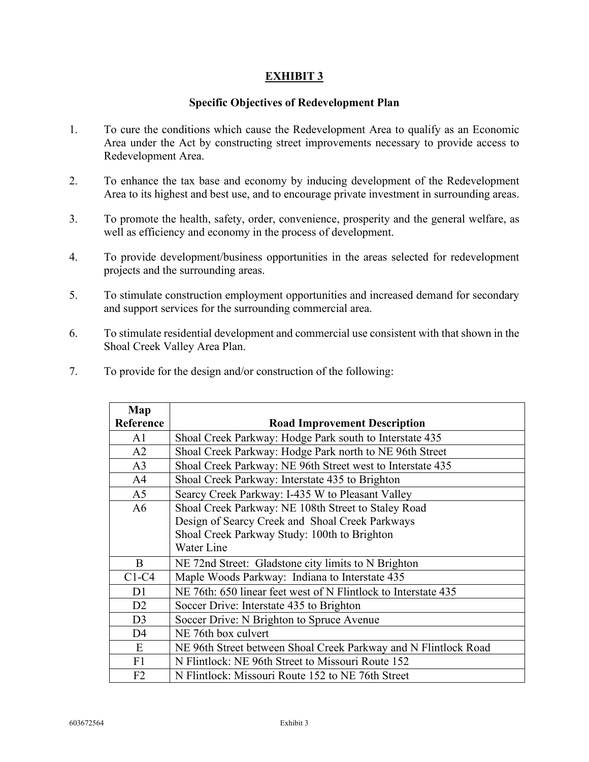## **EXHIBIT 3**

### **Specific Objectives of Redevelopment Plan**

- 1. To cure the conditions which cause the Redevelopment Area to qualify as an Economic Area under the Act by constructing street improvements necessary to provide access to Redevelopment Area.
- 2. To enhance the tax base and economy by inducing development of the Redevelopment Area to its highest and best use, and to encourage private investment in surrounding areas.
- 3. To promote the health, safety, order, convenience, prosperity and the general welfare, as well as efficiency and economy in the process of development.
- 4. To provide development/business opportunities in the areas selected for redevelopment projects and the surrounding areas.
- 5. To stimulate construction employment opportunities and increased demand for secondary and support services for the surrounding commercial area.
- 6. To stimulate residential development and commercial use consistent with that shown in the Shoal Creek Valley Area Plan.
- 7. To provide for the design and/or construction of the following:

| Map            |                                                                 |
|----------------|-----------------------------------------------------------------|
| Reference      | <b>Road Improvement Description</b>                             |
| A1             | Shoal Creek Parkway: Hodge Park south to Interstate 435         |
| A2             | Shoal Creek Parkway: Hodge Park north to NE 96th Street         |
| A <sub>3</sub> | Shoal Creek Parkway: NE 96th Street west to Interstate 435      |
| A <sup>4</sup> | Shoal Creek Parkway: Interstate 435 to Brighton                 |
| A <sub>5</sub> | Searcy Creek Parkway: I-435 W to Pleasant Valley                |
| A6             | Shoal Creek Parkway: NE 108th Street to Staley Road             |
|                | Design of Searcy Creek and Shoal Creek Parkways                 |
|                | Shoal Creek Parkway Study: 100th to Brighton                    |
|                | Water Line                                                      |
| B              | NE 72nd Street: Gladstone city limits to N Brighton             |
| $C1-C4$        | Maple Woods Parkway: Indiana to Interstate 435                  |
| D1             | NE 76th: 650 linear feet west of N Flintlock to Interstate 435  |
| D2             | Soccer Drive: Interstate 435 to Brighton                        |
| D <sub>3</sub> | Soccer Drive: N Brighton to Spruce Avenue                       |
| D <sub>4</sub> | NE 76th box culvert                                             |
| E              | NE 96th Street between Shoal Creek Parkway and N Flintlock Road |
| F1             | N Flintlock: NE 96th Street to Missouri Route 152               |
| F <sub>2</sub> | N Flintlock: Missouri Route 152 to NE 76th Street               |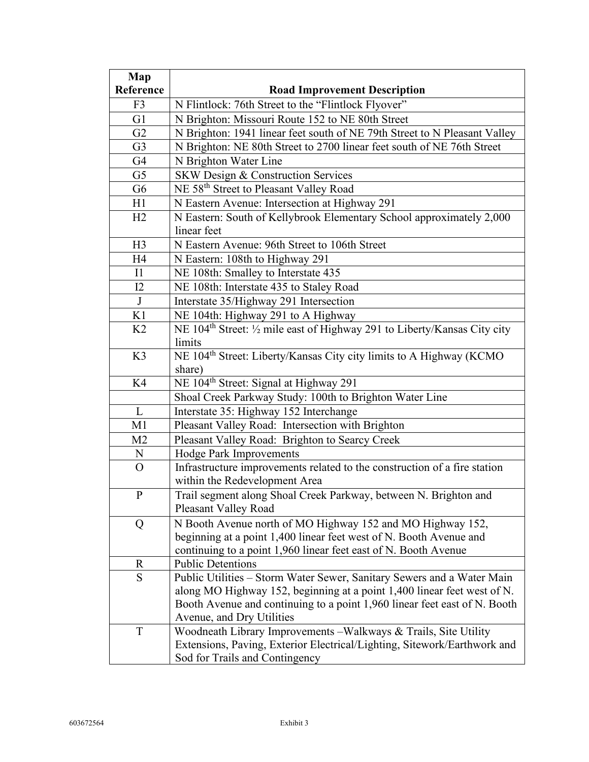| Map            |                                                                                                 |
|----------------|-------------------------------------------------------------------------------------------------|
| Reference      | <b>Road Improvement Description</b>                                                             |
| F <sub>3</sub> | N Flintlock: 76th Street to the "Flintlock Flyover"                                             |
| G1             | N Brighton: Missouri Route 152 to NE 80th Street                                                |
| G2             | N Brighton: 1941 linear feet south of NE 79th Street to N Pleasant Valley                       |
| G <sub>3</sub> | N Brighton: NE 80th Street to 2700 linear feet south of NE 76th Street                          |
| G4             | N Brighton Water Line                                                                           |
| G <sub>5</sub> | SKW Design & Construction Services                                                              |
| G <sub>6</sub> | NE 58 <sup>th</sup> Street to Pleasant Valley Road                                              |
| H1             | N Eastern Avenue: Intersection at Highway 291                                                   |
| H2             | N Eastern: South of Kellybrook Elementary School approximately 2,000                            |
|                | linear feet                                                                                     |
| H <sub>3</sub> | N Eastern Avenue: 96th Street to 106th Street                                                   |
| H <sub>4</sub> | N Eastern: 108th to Highway 291                                                                 |
| $\mathbf{I}$   | NE 108th: Smalley to Interstate 435                                                             |
| I2             | NE 108th: Interstate 435 to Staley Road                                                         |
| $\bf J$        | Interstate 35/Highway 291 Intersection                                                          |
| K1             | NE 104th: Highway 291 to A Highway                                                              |
| K <sub>2</sub> | NE 104 <sup>th</sup> Street: $\frac{1}{2}$ mile east of Highway 291 to Liberty/Kansas City city |
|                | limits                                                                                          |
| K3             | NE 104 <sup>th</sup> Street: Liberty/Kansas City city limits to A Highway (KCMO                 |
|                | share)                                                                                          |
| K4             | NE 104 <sup>th</sup> Street: Signal at Highway 291                                              |
|                | Shoal Creek Parkway Study: 100th to Brighton Water Line                                         |
| L              | Interstate 35: Highway 152 Interchange                                                          |
| M1             | Pleasant Valley Road: Intersection with Brighton                                                |
| M <sub>2</sub> | Pleasant Valley Road: Brighton to Searcy Creek                                                  |
| N              | <b>Hodge Park Improvements</b>                                                                  |
| O              | Infrastructure improvements related to the construction of a fire station                       |
|                | within the Redevelopment Area                                                                   |
| $\mathbf{P}$   | Trail segment along Shoal Creek Parkway, between N. Brighton and                                |
|                | <b>Pleasant Valley Road</b>                                                                     |
| Q              | N Booth Avenue north of MO Highway 152 and MO Highway 152,                                      |
|                | beginning at a point 1,400 linear feet west of N. Booth Avenue and                              |
|                | continuing to a point 1,960 linear feet east of N. Booth Avenue                                 |
| R              | <b>Public Detentions</b>                                                                        |
| S              | Public Utilities – Storm Water Sewer, Sanitary Sewers and a Water Main                          |
|                | along MO Highway 152, beginning at a point 1,400 linear feet west of N.                         |
|                | Booth Avenue and continuing to a point 1,960 linear feet east of N. Booth                       |
|                | Avenue, and Dry Utilities                                                                       |
| T              | Woodneath Library Improvements - Walkways & Trails, Site Utility                                |
|                | Extensions, Paving, Exterior Electrical/Lighting, Sitework/Earthwork and                        |
|                | Sod for Trails and Contingency                                                                  |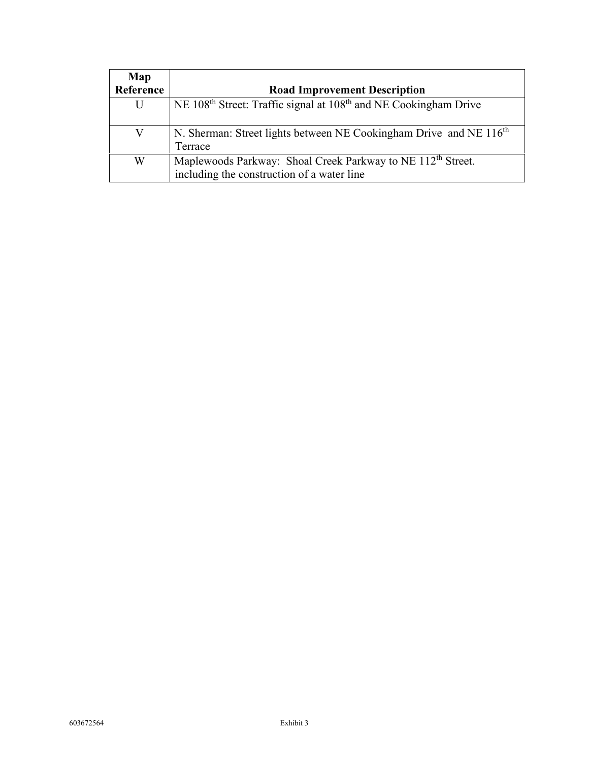| Map       |                                                                                                                       |
|-----------|-----------------------------------------------------------------------------------------------------------------------|
| Reference | <b>Road Improvement Description</b>                                                                                   |
| U         | NE 108 <sup>th</sup> Street: Traffic signal at 108 <sup>th</sup> and NE Cookingham Drive                              |
|           | N. Sherman: Street lights between NE Cookingham Drive and NE 116 <sup>th</sup><br>Terrace                             |
| W         | Maplewoods Parkway: Shoal Creek Parkway to NE 112 <sup>th</sup> Street.<br>including the construction of a water line |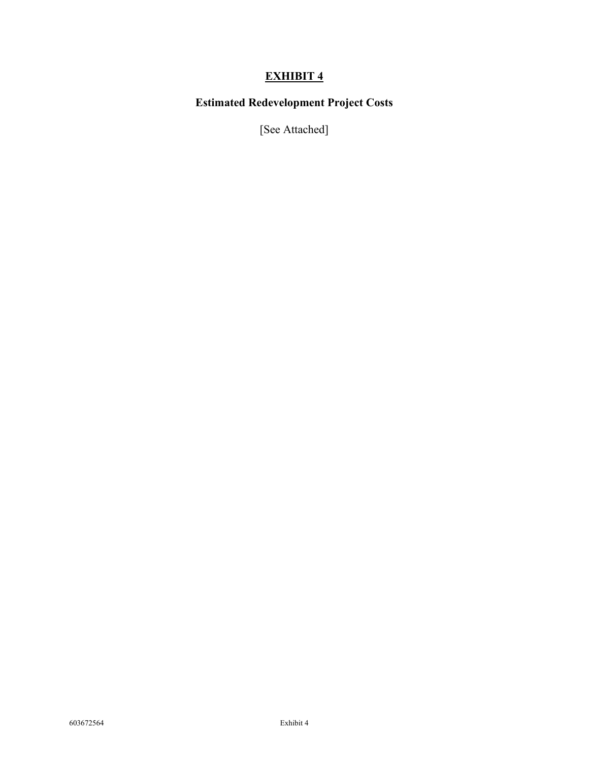## **EXHIBIT 4**

## **Estimated Redevelopment Project Costs**

[See Attached]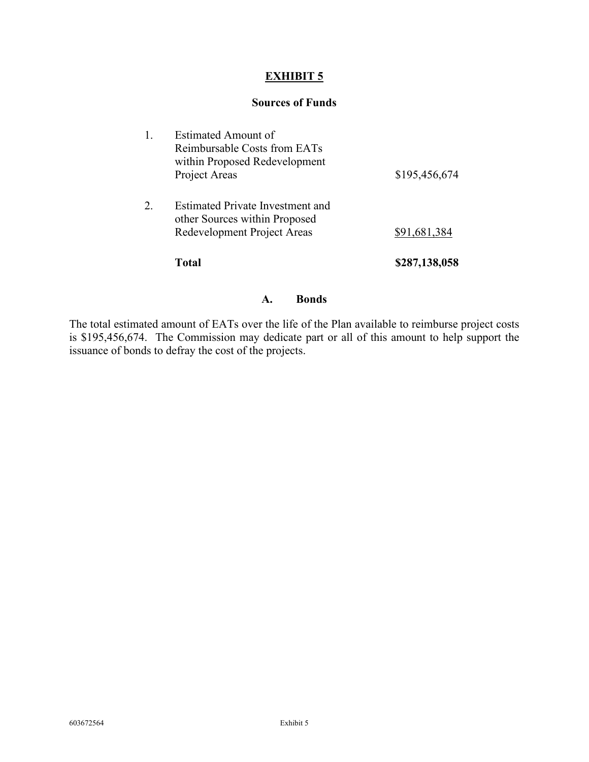## **EXHIBIT 5**

#### **Sources of Funds**

| other Sources within Proposed<br>Redevelopment Project Areas<br>\$91,681,384 |  |
|------------------------------------------------------------------------------|--|
|                                                                              |  |

#### **A. Bonds**

The total estimated amount of EATs over the life of the Plan available to reimburse project costs is \$195,456,674. The Commission may dedicate part or all of this amount to help support the issuance of bonds to defray the cost of the projects.